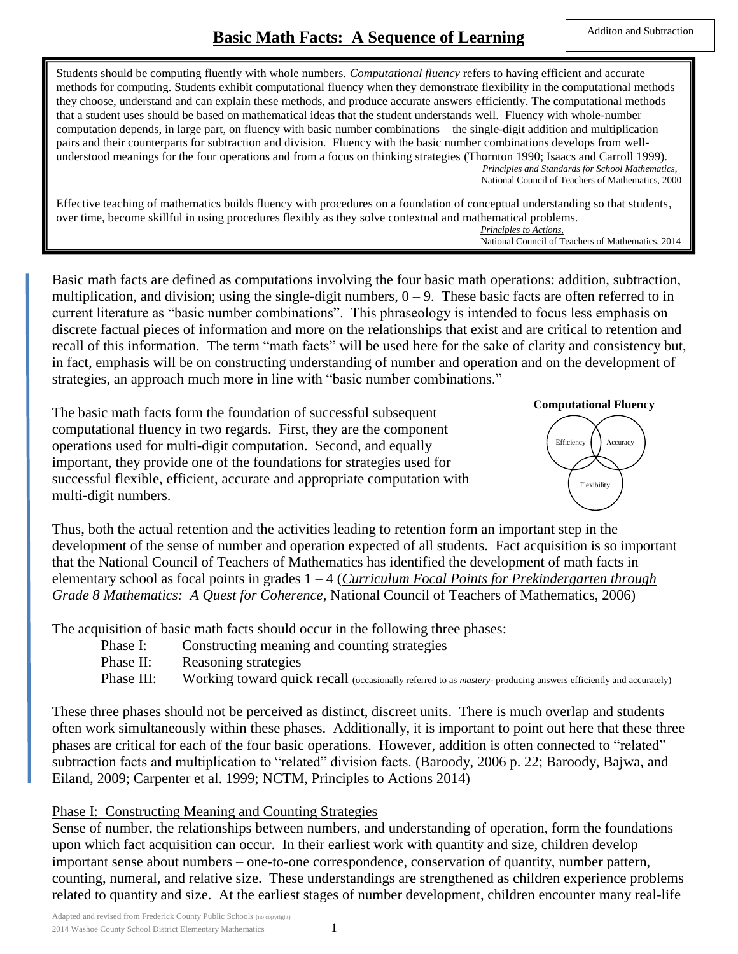Students should be computing fluently with whole numbers. *Computational fluency* refers to having efficient and accurate methods for computing. Students exhibit computational fluency when they demonstrate flexibility in the computational methods they choose, understand and can explain these methods, and produce accurate answers efficiently. The computational methods that a student uses should be based on mathematical ideas that the student understands well. Fluency with whole-number computation depends, in large part, on fluency with basic number combinations—the single-digit addition and multiplication pairs and their counterparts for subtraction and division. Fluency with the basic number combinations develops from wellunderstood meanings for the four operations and from a focus on thinking strategies (Thornton 1990; Isaacs and Carroll 1999).  *Principles and Standards for School Mathematics*, National Council of Teachers of Mathematics, 2000

Effective teaching of mathematics builds fluency with procedures on a foundation of conceptual understanding so that students, over time, become skillful in using procedures flexibly as they solve contextual and mathematical problems. *Principles to Actions,*

National Council of Teachers of Mathematics, 2014

Basic math facts are defined as computations involving the four basic math operations: addition, subtraction, multiplication, and division; using the single-digit numbers,  $0 - 9$ . These basic facts are often referred to in current literature as "basic number combinations". This phraseology is intended to focus less emphasis on discrete factual pieces of information and more on the relationships that exist and are critical to retention and recall of this information. The term "math facts" will be used here for the sake of clarity and consistency but, in fact, emphasis will be on constructing understanding of number and operation and on the development of strategies, an approach much more in line with "basic number combinations."

The basic math facts form the foundation of successful subsequent computational fluency in two regards. First, they are the component operations used for multi-digit computation. Second, and equally important, they provide one of the foundations for strategies used for successful flexible, efficient, accurate and appropriate computation with multi-digit numbers.





Thus, both the actual retention and the activities leading to retention form an important step in the development of the sense of number and operation expected of all students. Fact acquisition is so important that the National Council of Teachers of Mathematics has identified the development of math facts in elementary school as focal points in grades 1 – 4 (*Curriculum Focal Points for Prekindergarten through Grade 8 Mathematics: A Quest for Coherence*, National Council of Teachers of Mathematics, 2006)

The acquisition of basic math facts should occur in the following three phases:

- Phase I: Constructing meaning and counting strategies
- Phase II: Reasoning strategies
- Phase III: Working toward quick recall (occasionally referred to as *mastery* producing answers efficiently and accurately)

These three phases should not be perceived as distinct, discreet units. There is much overlap and students often work simultaneously within these phases. Additionally, it is important to point out here that these three phases are critical for each of the four basic operations. However, addition is often connected to "related" subtraction facts and multiplication to "related" division facts. (Baroody, 2006 p. 22; Baroody, Bajwa, and Eiland, 2009; Carpenter et al. 1999; NCTM, Principles to Actions 2014)

# Phase I: Constructing Meaning and Counting Strategies

Sense of number, the relationships between numbers, and understanding of operation, form the foundations upon which fact acquisition can occur. In their earliest work with quantity and size, children develop important sense about numbers – one-to-one correspondence, conservation of quantity, number pattern, counting, numeral, and relative size. These understandings are strengthened as children experience problems related to quantity and size. At the earliest stages of number development, children encounter many real-life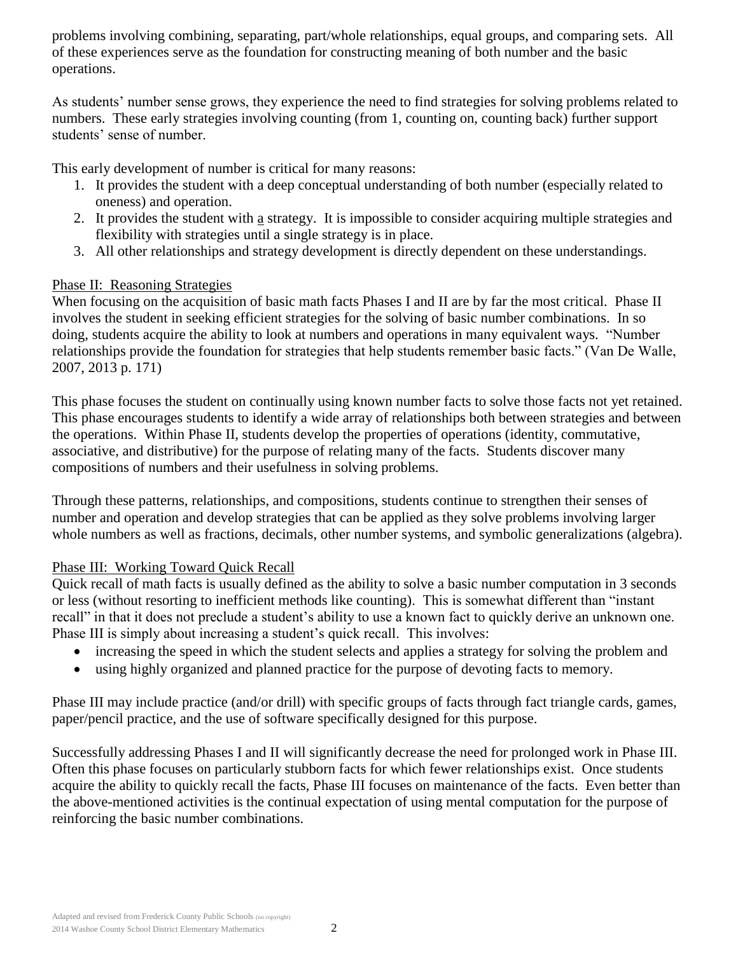problems involving combining, separating, part/whole relationships, equal groups, and comparing sets. All of these experiences serve as the foundation for constructing meaning of both number and the basic operations.

As students' number sense grows, they experience the need to find strategies for solving problems related to numbers. These early strategies involving counting (from 1, counting on, counting back) further support students' sense of number.

This early development of number is critical for many reasons:

- 1. It provides the student with a deep conceptual understanding of both number (especially related to oneness) and operation.
- 2. It provides the student with  $\underline{a}$  strategy. It is impossible to consider acquiring multiple strategies and flexibility with strategies until a single strategy is in place.
- 3. All other relationships and strategy development is directly dependent on these understandings.

### Phase II: Reasoning Strategies

When focusing on the acquisition of basic math facts Phases I and II are by far the most critical. Phase II involves the student in seeking efficient strategies for the solving of basic number combinations. In so doing, students acquire the ability to look at numbers and operations in many equivalent ways. "Number relationships provide the foundation for strategies that help students remember basic facts." (Van De Walle, 2007, 2013 p. 171)

This phase focuses the student on continually using known number facts to solve those facts not yet retained. This phase encourages students to identify a wide array of relationships both between strategies and between the operations. Within Phase II, students develop the properties of operations (identity, commutative, associative, and distributive) for the purpose of relating many of the facts. Students discover many compositions of numbers and their usefulness in solving problems.

Through these patterns, relationships, and compositions, students continue to strengthen their senses of number and operation and develop strategies that can be applied as they solve problems involving larger whole numbers as well as fractions, decimals, other number systems, and symbolic generalizations (algebra).

# Phase III: Working Toward Quick Recall

Quick recall of math facts is usually defined as the ability to solve a basic number computation in 3 seconds or less (without resorting to inefficient methods like counting). This is somewhat different than "instant recall" in that it does not preclude a student's ability to use a known fact to quickly derive an unknown one. Phase III is simply about increasing a student's quick recall. This involves:

- increasing the speed in which the student selects and applies a strategy for solving the problem and
- using highly organized and planned practice for the purpose of devoting facts to memory.

Phase III may include practice (and/or drill) with specific groups of facts through fact triangle cards, games, paper/pencil practice, and the use of software specifically designed for this purpose.

Successfully addressing Phases I and II will significantly decrease the need for prolonged work in Phase III. Often this phase focuses on particularly stubborn facts for which fewer relationships exist. Once students acquire the ability to quickly recall the facts, Phase III focuses on maintenance of the facts. Even better than the above-mentioned activities is the continual expectation of using mental computation for the purpose of reinforcing the basic number combinations.